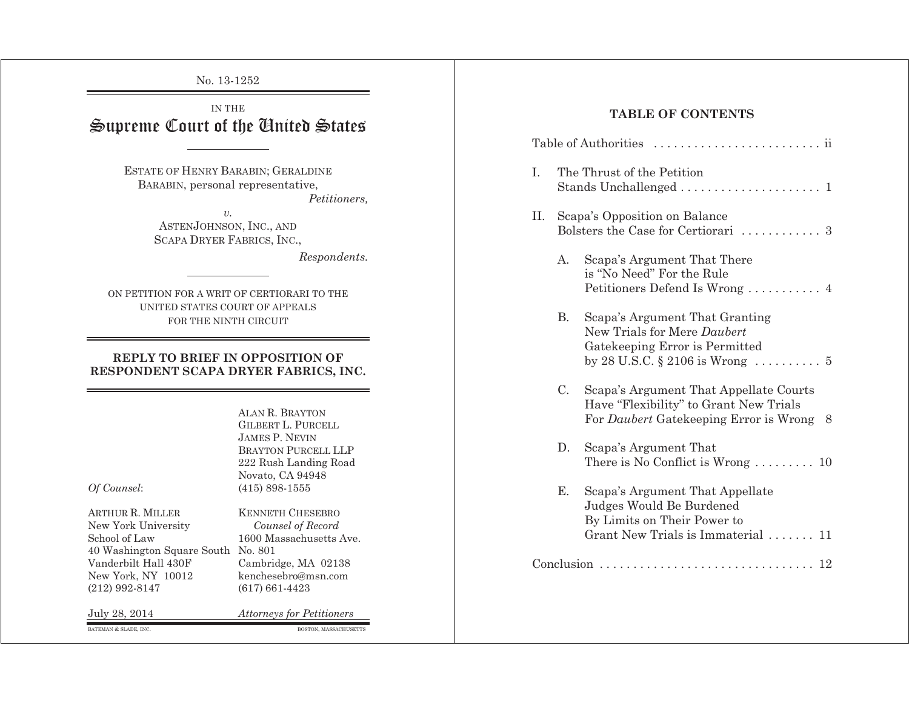No. 13-1252

# IN THE Supreme Court of the United States

ESTATE OF HENRY BARABIN; GERALDINE BARABIN, personal representative, *Petitioners,* 

> *v.* ASTEN JOHNSON, INC., AND SCAPA DRYER FABRICS, INC.,

> > *Respondents.*

ON PETITION FOR A WRIT OF CERTIORARI TO THE UNITED STATES COURT OF APPEALS FOR THE NINTH CIRCUIT

#### **REPLY TO BRIEF IN OPPOSITION OF RESPONDENT SCAPA DRYER FABRICS, INC.**

ALAN R. BRAYTON GILBERT L. PURCELL JAMES P. NEVIN BRAYTON PURCELL LLP 222 Rush Landing Road Novato, CA 94948 *Of Counsel*: (415) 898-1555

ARTHUR R. New York University *Counsel of Record*  School of Law 1600 Massachusetts Ave. 40 Washington Square South No. 801 Vanderbilt Hall 430F Cambridge, MA 02138<br>New York, NY 10012 kenchesebro@msn.com (212) 992-8147 (617) 661-4423

MILLER KENNETH CHESEBRO kenchesebro@msn.com

July 28, 2014 *Attorneys for Petitioners* 

BATEMAN & SLADE, INC. **BOSTON, MASSACHUSETTS** 

## **TABLE OF CONTENTS**

| I. | The Thrust of the Petition                                           |                                                                                                                                  |  |  |  |  |  |  |  |
|----|----------------------------------------------------------------------|----------------------------------------------------------------------------------------------------------------------------------|--|--|--|--|--|--|--|
| Π. | Scapa's Opposition on Balance<br>Bolsters the Case for Certiorari  3 |                                                                                                                                  |  |  |  |  |  |  |  |
|    | $A_{\cdot}$                                                          | Scapa's Argument That There<br>is "No Need" For the Rule<br>Petitioners Defend Is Wrong  4                                       |  |  |  |  |  |  |  |
|    | B.                                                                   | Scapa's Argument That Granting<br>New Trials for Mere Daubert<br>Gatekeeping Error is Permitted                                  |  |  |  |  |  |  |  |
|    | C.                                                                   | Scapa's Argument That Appellate Courts<br>Have "Flexibility" to Grant New Trials<br>For Daubert Gatekeeping Error is Wrong<br>-8 |  |  |  |  |  |  |  |
|    | D.                                                                   | Scapa's Argument That<br>There is No Conflict is Wrong $\dots \dots \dots 10$                                                    |  |  |  |  |  |  |  |
|    | Ε.                                                                   | Scapa's Argument That Appellate<br>Judges Would Be Burdened<br>By Limits on Their Power to<br>Grant New Trials is Immaterial  11 |  |  |  |  |  |  |  |
|    |                                                                      |                                                                                                                                  |  |  |  |  |  |  |  |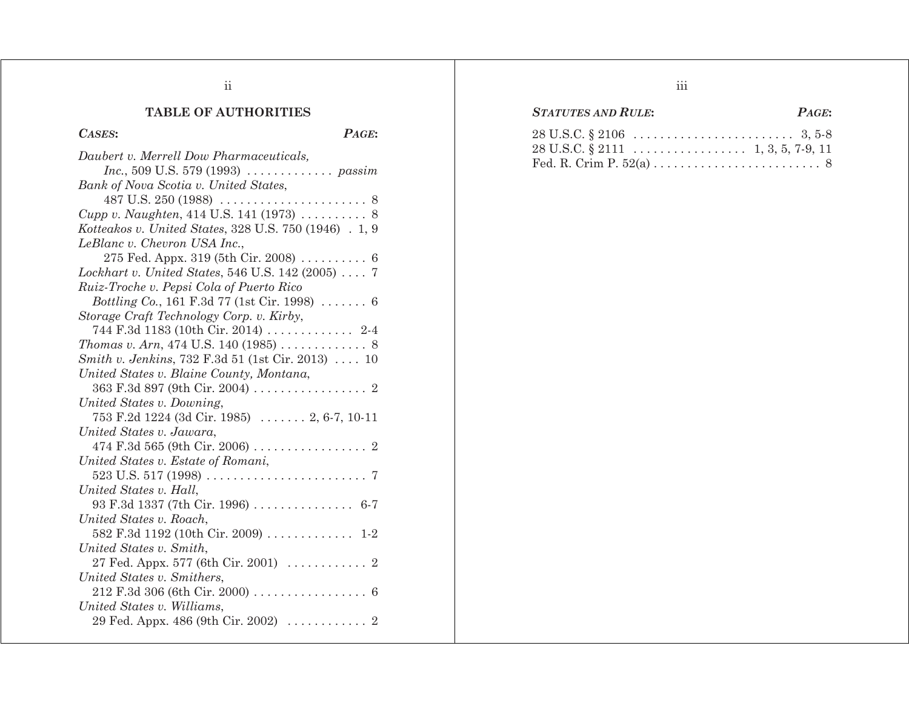# **TABLE OF AUTHORITIES**

## *CASES***:** *PAGE***:**

| Daubert v. Merrell Dow Pharmaceuticals,                             |
|---------------------------------------------------------------------|
| <i>Inc.</i> , 509 U.S. 579 (1993) $\ldots$ <i>n passim</i>          |
| Bank of Nova Scotia v. United States,                               |
|                                                                     |
| Cupp v. Naughten, 414 U.S. 141 (1973)  8                            |
| Kotteakos v. United States, 328 U.S. 750 (1946) . 1, 9              |
| LeBlanc v. Chevron USA Inc.,                                        |
|                                                                     |
| Lockhart v. United States, 546 U.S. 142 (2005)  7                   |
| Ruiz-Troche v. Pepsi Cola of Puerto Rico                            |
| <i>Bottling Co.</i> , 161 F.3d 77 (1st Cir. 1998) $\ldots \ldots$ 6 |
| Storage Craft Technology Corp. v. Kirby,                            |
| 744 F.3d 1183 (10th Cir. 2014)  2-4                                 |
|                                                                     |
| Smith v. Jenkins, 732 F.3d 51 (1st Cir. 2013)  10                   |
| United States v. Blaine County, Montana,                            |
|                                                                     |
| United States v. Downing,                                           |
| 753 F.2d 1224 (3d Cir. 1985)  2, 6-7, 10-11                         |
| United States v. Jawara,                                            |
|                                                                     |
| United States v. Estate of Romani,                                  |
|                                                                     |
| United States v. Hall,                                              |
| 93 F.3d 1337 (7th Cir. 1996)  6-7                                   |
| United States v. Roach,                                             |
| 582 F.3d 1192 (10th Cir. 2009)  1-2                                 |
| United States v. Smith,                                             |
| 27 Fed. Appx. 577 (6th Cir. 2001) $\ldots \ldots \ldots$ 2          |
| United States v. Smithers,                                          |
|                                                                     |
| United States v. Williams,                                          |
|                                                                     |

# *STATUTES AND RULE***:** *PAGE***:**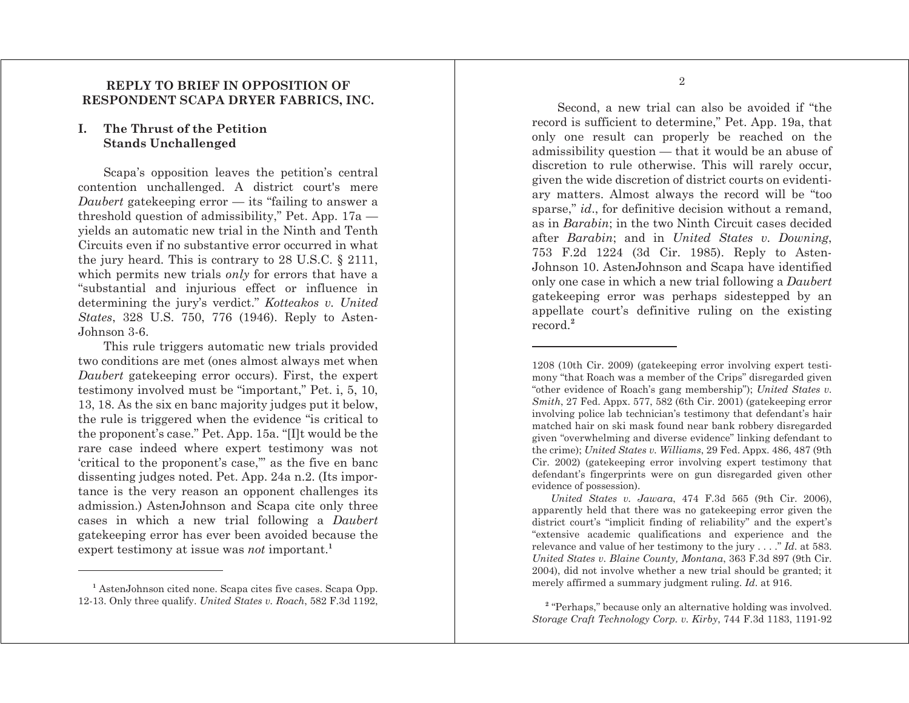#### **REPLY TO BRIEF IN OPPOSITION OF RESPONDENT SCAPA DRYER FABRICS, INC.**

#### **I. The Thrust of the Petition Stands Unchallenged**

Scapa's opposition leaves the petition's central contention unchallenged. A district court's mere *Daubert* gatekeeping error — its "failing to answer a threshold question of admissibility," Pet. App. 17a yields an automatic new trial in the Ninth and Tenth Circuits even if no substantive error occurred in what the jury heard. This is contrary to 28 U.S.C. § 2111, which permits new trials *only* for errors that have a "substantial and injurious effect or influence in determining the jury's verdict." *Kotteakos v. United States*, 328 U.S. 750, 776 (1946). Reply to Asten-Johnson 3-6.

This rule triggers automatic new trials provided two conditions are met (ones almost always met when *Daubert* gatekeeping error occurs). First, the expert testimony involved must be "important," Pet. i, 5, 10, 13, 18. As the six en banc majority judges put it below, the rule is triggered when the evidence "is critical to the proponent's case." Pet. App. 15a. "[I]t would be the rare case indeed where expert testimony was not 'critical to the proponent's case,'" as the five en banc dissenting judges noted. Pet. App. 24a n.2. (Its importance is the very reason an opponent challenges its admission.) AstenJohnson and Scapa cite only three cases in which a new trial following a *Daubert* gatekeeping error has ever been avoided because the expert testimony at issue was *not* important.**<sup>1</sup>**

Second, a new trial can also be avoided if "the record is sufficient to determine," Pet. App. 19a, that only one result can properly be reached on the

admissibility question — that it would be an abuse of discretion to rule otherwise. This will rarely occur, given the wide discretion of district courts on evidentiary matters. Almost always the record will be "too sparse," *id*., for definitive decision without a remand, as in *Barabin*; in the two Ninth Circuit cases decided after *Barabin*; and in *United States v. Downing*, 753 F.2d 1224 (3d Cir. 1985). Reply to Asten-Johnson 10. AstenJohnson and Scapa have identified only one case in which a new trial following a *Daubert* gatekeeping error was perhaps sidestepped by an appellate court's definitive ruling on the existing record.**<sup>2</sup>**

1208 (10th Cir. 2009) (gatekeeping error involving expert testimony "that Roach was a member of the Crips" disregarded given "other evidence of Roach's gang membership"); *United States v. Smith*, 27 Fed. Appx. 577, 582 (6th Cir. 2001) (gatekeeping error involving police lab technician's testimony that defendant's hair matched hair on ski mask found near bank robbery disregarded given "overwhelming and diverse evidence" linking defendant to the crime); *United States v. Williams*, 29 Fed. Appx. 486, 487 (9th Cir. 2002) (gatekeeping error involving expert testimony that defendant's fingerprints were on gun disregarded given other evidence of possession).

*United States v. Jawara*, 474 F.3d 565 (9th Cir. 2006), apparently held that there was no gatekeeping error given the district court's "implicit finding of reliability" and the expert's "extensive academic qualifications and experience and the relevance and value of her testimony to the jury . . . ." *Id*. at 583. *United States v. Blaine County, Montana*, 363 F.3d 897 (9th Cir. 2004), did not involve whether a new trial should be granted; it merely affirmed a summary judgment ruling. *Id*. at 916.

**<sup>1</sup>** AstenJohnson cited none. Scapa cites five cases. Scapa Opp. 12-13. Only three qualify. *United States v. Roach*, 582 F.3d 1192,

**<sup>2</sup>** "Perhaps," because only an alternative holding was involved. *Storage Craft Technology Corp. v. Kirby*, 744 F.3d 1183, 1191-92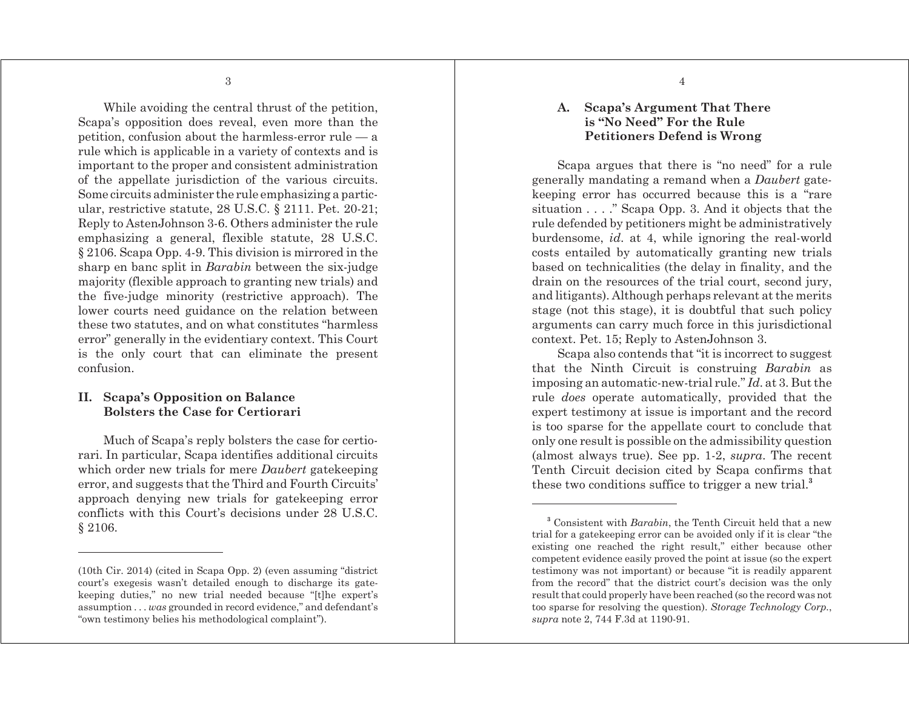While avoiding the central thrust of the petition, Scapa's opposition does reveal, even more than the petition, confusion about the harmless-error rule — a rule which is applicable in a variety of contexts and is important to the proper and consistent administration of the appellate jurisdiction of the various circuits. Some circuits administer the rule emphasizing a particular, restrictive statute, 28 U.S.C. § 2111. Pet. 20-21; Reply to AstenJohnson 3-6. Others administer the rule emphasizing a general, flexible statute, 28 U.S.C. § 2106. Scapa Opp. 4-9. This division is mirrored in the sharp en banc split in *Barabin* between the six-judge majority (flexible approach to granting new trials) and the five-judge minority (restrictive approach). The lower courts need guidance on the relation between these two statutes, and on what constitutes "harmless error" generally in the evidentiary context. This Court is the only court that can eliminate the present confusion.

### **II. Scapa's Opposition on Balance Bolsters the Case for Certiorari**

Much of Scapa's reply bolsters the case for certiorari. In particular, Scapa identifies additional circuits which order new trials for mere *Daubert* gatekeeping error, and suggests that the Third and Fourth Circuits' approach denying new trials for gatekeeping error conflicts with this Court's decisions under 28 U.S.C. § 2106.

### **A. Scapa's Argument That There is "No Need" For the Rule Petitioners Defend is Wrong**

Scapa argues that there is "no need" for a rule generally mandating a remand when a *Daubert* gatekeeping error has occurred because this is a "rare situation . . . ." Scapa Opp. 3. And it objects that the rule defended by petitioners might be administratively burdensome, *id*. at 4, while ignoring the real-world costs entailed by automatically granting new trials based on technicalities (the delay in finality, and the drain on the resources of the trial court, second jury, and litigants). Although perhaps relevant at the merits stage (not this stage), it is doubtful that such policy arguments can carry much force in this jurisdictional context. Pet. 15; Reply to AstenJohnson 3.

Scapa also contends that "it is incorrect to suggest that the Ninth Circuit is construing *Barabin* as imposing an automatic-new-trial rule." *Id*. at 3. But the rule *does* operate automatically, provided that the expert testimony at issue is important and the record is too sparse for the appellate court to conclude that only one result is possible on the admissibility question (almost always true). See pp. 1-2, *supra*. The recent Tenth Circuit decision cited by Scapa confirms that these two conditions suffice to trigger a new trial.**<sup>3</sup>**

<sup>(10</sup>th Cir. 2014) (cited in Scapa Opp. 2) (even assuming "district court's exegesis wasn't detailed enough to discharge its gatekeeping duties," no new trial needed because "[t]he expert's assumption . . . *was* grounded in record evidence," and defendant's "own testimony belies his methodological complaint").

**<sup>3</sup>** Consistent with *Barabin*, the Tenth Circuit held that a new trial for a gatekeeping error can be avoided only if it is clear "the existing one reached the right result," either because other competent evidence easily proved the point at issue (so the expert testimony was not important) or because "it is readily apparent from the record" that the district court's decision was the only result that could properly have been reached (so the record was not too sparse for resolving the question). *Storage Technology Corp.*, *supra* note 2, 744 F.3d at 1190-91.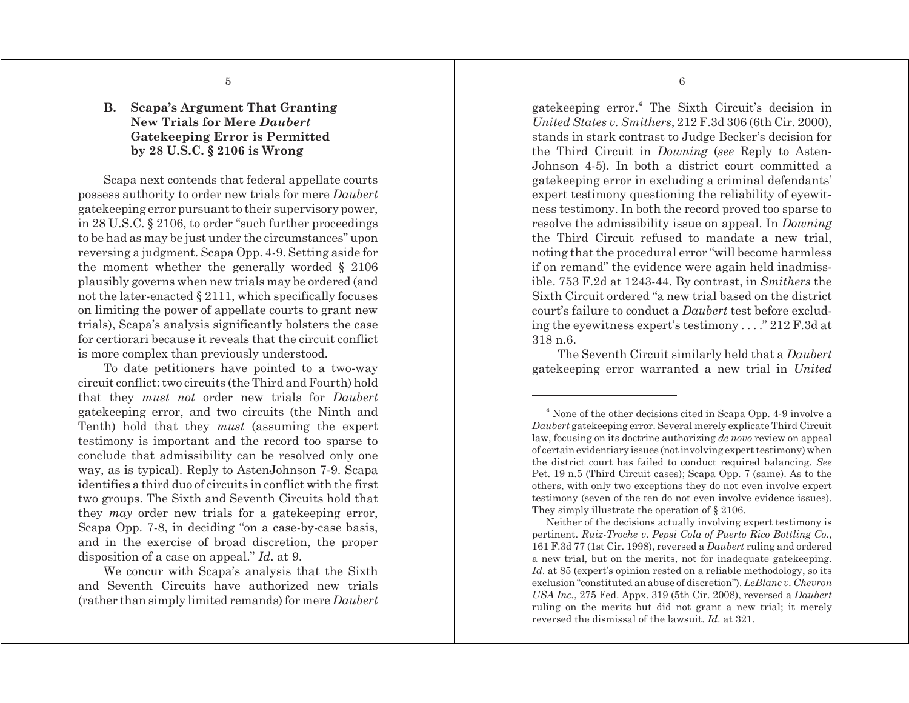## **B. Scapa's Argument That Granting New Trials for Mere** *Daubert* **Gatekeeping Error is Permitted by 28 U.S.C. § 2106 is Wrong**

Scapa next contends that federal appellate courts possess authority to order new trials for mere *Daubert* gatekeeping error pursuant to their supervisory power, in 28 U.S.C. § 2106, to order "such further proceedings to be had as may be just under the circumstances" upon reversing a judgment. Scapa Opp. 4-9. Setting aside for the moment whether the generally worded § 2106 plausibly governs when new trials may be ordered (and not the later-enacted § 2111, which specifically focuses on limiting the power of appellate courts to grant new trials), Scapa's analysis significantly bolsters the case for certiorari because it reveals that the circuit conflict is more complex than previously understood.

To date petitioners have pointed to a two-way circuit conflict: two circuits (the Third and Fourth) hold that they *must not* order new trials for *Daubert* gatekeeping error, and two circuits (the Ninth and Tenth) hold that they *must* (assuming the expert testimony is important and the record too sparse to conclude that admissibility can be resolved only one way, as is typical). Reply to AstenJohnson 7-9. Scapa identifies a third duo of circuits in conflict with the first two groups. The Sixth and Seventh Circuits hold that they *may* order new trials for a gatekeeping error, Scapa Opp. 7-8, in deciding "on a case-by-case basis, and in the exercise of broad discretion, the proper disposition of a case on appeal." *Id*. at 9.

We concur with Scapa's analysis that the Sixth and Seventh Circuits have authorized new trials (rather than simply limited remands) for mere *Daubert* gatekeeping error.**<sup>4</sup>** The Sixth Circuit's decision in *United States v. Smithers*, 212 F.3d 306 (6th Cir. 2000), stands in stark contrast to Judge Becker's decision for the Third Circuit in *Downing* (*see* Reply to Asten-Johnson 4-5). In both a district court committed a gatekeeping error in excluding a criminal defendants' expert testimony questioning the reliability of eyewitness testimony. In both the record proved too sparse to resolve the admissibility issue on appeal. In *Downing* the Third Circuit refused to mandate a new trial, noting that the procedural error "will become harmless if on remand" the evidence were again held inadmissible. 753 F.2d at 1243-44. By contrast, in *Smithers* the Sixth Circuit ordered "a new trial based on the district court's failure to conduct a *Daubert* test before excluding the eyewitness expert's testimony . . . ." 212 F.3d at 318 n.6.

The Seventh Circuit similarly held that a *Daubert* gatekeeping error warranted a new trial in *United*

Neither of the decisions actually involving expert testimony is pertinent. *Ruiz-Troche v. Pepsi Cola of Puerto Rico Bottling Co.*, 161 F.3d 77 (1st Cir. 1998), reversed a *Daubert* ruling and ordered a new trial, but on the merits, not for inadequate gatekeeping. *Id.* at 85 (expert's opinion rested on a reliable methodology, so its exclusion "constituted an abuse of discretion"). *LeBlanc v. Chevron USA Inc.*, 275 Fed. Appx. 319 (5th Cir. 2008), reversed a *Daubert* ruling on the merits but did not grant a new trial; it merely reversed the dismissal of the lawsuit. *Id*. at 321.

**<sup>4</sup>** None of the other decisions cited in Scapa Opp. 4-9 involve a *Daubert* gatekeeping error. Several merely explicate Third Circuit law, focusing on its doctrine authorizing *de novo* review on appeal of certain evidentiary issues (not involving expert testimony) when the district court has failed to conduct required balancing. *See* Pet. 19 n.5 (Third Circuit cases); Scapa Opp. 7 (same). As to the others, with only two exceptions they do not even involve expert testimony (seven of the ten do not even involve evidence issues). They simply illustrate the operation of § 2106.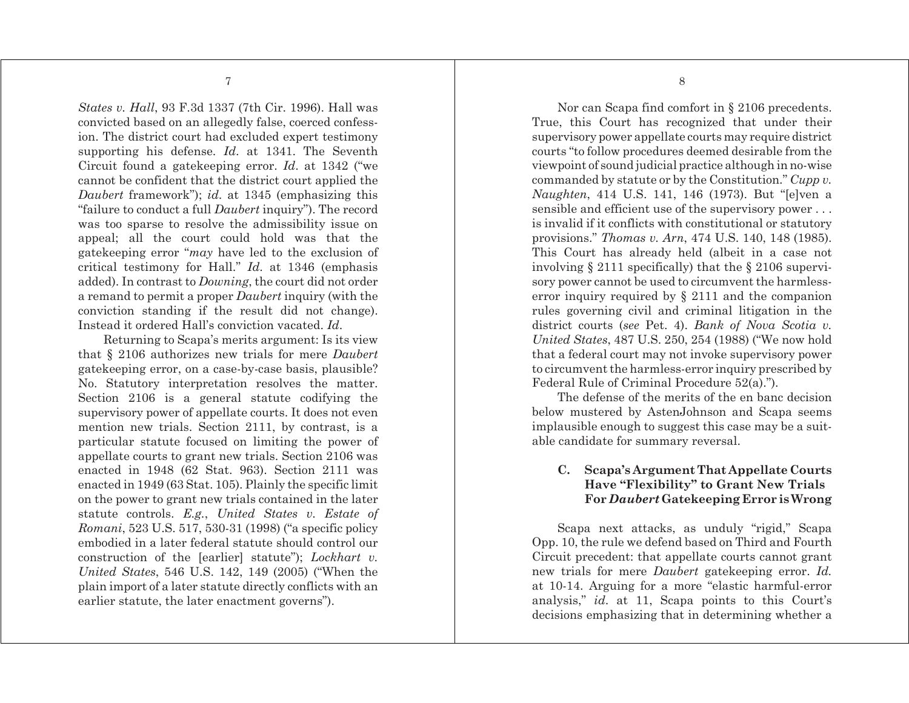*States v. Hall*, 93 F.3d 1337 (7th Cir. 1996). Hall was convicted based on an allegedly false, coerced confession. The district court had excluded expert testimony supporting his defense. *Id*. at 1341. The Seventh Circuit found a gatekeeping error. *Id*. at 1342 ("we cannot be confident that the district court applied the *Daubert* framework"); *id*. at 1345 (emphasizing this "failure to conduct a full *Daubert* inquiry"). The record was too sparse to resolve the admissibility issue on appeal; all the court could hold was that the gatekeeping error "*may* have led to the exclusion of critical testimony for Hall." *Id*. at 1346 (emphasis added). In contrast to *Downing*, the court did not order a remand to permit a proper *Daubert* inquiry (with the conviction standing if the result did not change). Instead it ordered Hall's conviction vacated. *Id*.

Returning to Scapa's merits argument: Is its view that § 2106 authorizes new trials for mere *Daubert* gatekeeping error, on a case-by-case basis, plausible? No. Statutory interpretation resolves the matter. Section 2106 is a general statute codifying the supervisory power of appellate courts. It does not even mention new trials. Section 2111, by contrast, is a particular statute focused on limiting the power of appellate courts to grant new trials. Section 2106 was enacted in 1948 (62 Stat. 963). Section 2111 was enacted in 1949 (63 Stat. 105). Plainly the specific limit on the power to grant new trials contained in the later statute controls. *E.g.*, *United States v. Estate of Romani*, 523 U.S. 517, 530-31 (1998) ("a specific policy embodied in a later federal statute should control our construction of the [earlier] statute"); *Lockhart v. United States*, 546 U.S. 142, 149 (2005) ("When the plain import of a later statute directly conflicts with an earlier statute, the later enactment governs").

Nor can Scapa find comfort in § 2106 precedents. True, this Court has recognized that under their supervisory power appellate courts may require district courts "to follow procedures deemed desirable from the viewpoint of sound judicial practice although in no-wise commanded by statute or by the Constitution." *Cupp v. Naughten*, 414 U.S. 141, 146 (1973). But "[e]ven a sensible and efficient use of the supervisory power . . . is invalid if it conflicts with constitutional or statutory provisions." *Thomas v. Arn*, 474 U.S. 140, 148 (1985). This Court has already held (albeit in a case not involving § 2111 specifically) that the § 2106 supervisory power cannot be used to circumvent the harmlesserror inquiry required by § 2111 and the companion rules governing civil and criminal litigation in the district courts (*see* Pet. 4). *Bank of Nova Scotia v. United States*, 487 U.S. 250, 254 (1988) ("We now hold that a federal court may not invoke supervisory power to circumvent the harmless-error inquiry prescribed by Federal Rule of Criminal Procedure 52(a).").

The defense of the merits of the en banc decision below mustered by AstenJohnson and Scapa seems implausible enough to suggest this case may be a suitable candidate for summary reversal.

### **C. Scapa's Argument That Appellate Courts Have "Flexibility" to Grant New Trials For** *Daubert* **Gatekeeping Error is Wrong**

Scapa next attacks, as unduly "rigid," Scapa Opp. 10, the rule we defend based on Third and Fourth Circuit precedent: that appellate courts cannot grant new trials for mere *Daubert* gatekeeping error. *Id.* at 10-14. Arguing for a more "elastic harmful-error analysis," *id*. at 11, Scapa points to this Court's decisions emphasizing that in determining whether a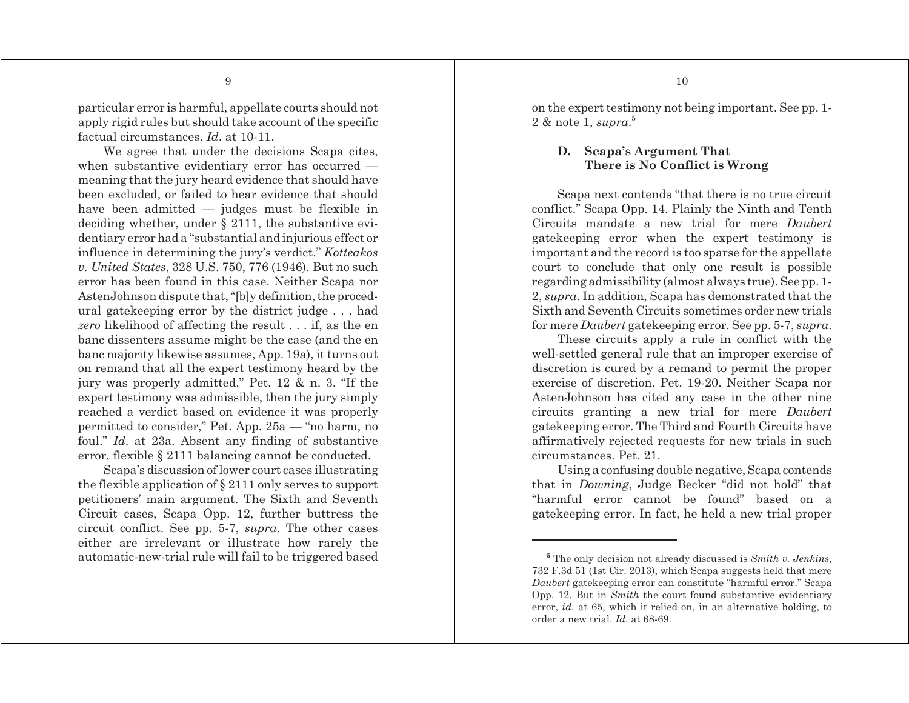particular error is harmful, appellate courts should not apply rigid rules but should take account of the specific factual circumstances. *Id*. at 10-11.

We agree that under the decisions Scapa cites, when substantive evidentiary error has occurred meaning that the jury heard evidence that should have been excluded, or failed to hear evidence that should have been admitted — judges must be flexible in deciding whether, under § 2111, the substantive evidentiary error had a "substantial and injurious effect or influence in determining the jury's verdict." *Kotteakos v. United States*, 328 U.S. 750, 776 (1946). But no such error has been found in this case. Neither Scapa nor AstenJohnson dispute that, "[b]y definition, the procedural gatekeeping error by the district judge . . . had *zero* likelihood of affecting the result . . . if, as the en banc dissenters assume might be the case (and the en banc majority likewise assumes, App. 19a), it turns out on remand that all the expert testimony heard by the jury was properly admitted." Pet. 12 & n. 3. "If the expert testimony was admissible, then the jury simply reached a verdict based on evidence it was properly permitted to consider," Pet. App. 25a — "no harm, no foul." *Id*. at 23a. Absent any finding of substantive error, flexible § 2111 balancing cannot be conducted.

Scapa's discussion of lower court cases illustrating the flexible application of § 2111 only serves to support petitioners' main argument. The Sixth and Seventh Circuit cases, Scapa Opp. 12, further buttress the circuit conflict. See pp. 5-7, *supra*. The other cases either are irrelevant or illustrate how rarely the automatic-new-trial rule will fail to be triggered based on the expert testimony not being important. See pp. 1- 2 & note 1, *supra*. **5**

### **D. Scapa's Argument That There is No Conflict is Wrong**

Scapa next contends "that there is no true circuit conflict." Scapa Opp. 14. Plainly the Ninth and Tenth Circuits mandate a new trial for mere *Daubert* gatekeeping error when the expert testimony is important and the record is too sparse for the appellate court to conclude that only one result is possible regarding admissibility (almost always true). See pp. 1- 2, *supra*. In addition, Scapa has demonstrated that the Sixth and Seventh Circuits sometimes order new trials for mere *Daubert* gatekeeping error. See pp. 5-7, *supra*.

These circuits apply a rule in conflict with the well-settled general rule that an improper exercise of discretion is cured by a remand to permit the proper exercise of discretion. Pet. 19-20. Neither Scapa nor AstenJohnson has cited any case in the other nine circuits granting a new trial for mere *Daubert* gatekeeping error. The Third and Fourth Circuits have affirmatively rejected requests for new trials in such circumstances. Pet. 21.

Using a confusing double negative, Scapa contends that in *Downing*, Judge Becker "did not hold" that "harmful error cannot be found" based on a gatekeeping error. In fact, he held a new trial proper

**<sup>5</sup>** The only decision not already discussed is *Smith v. Jenkins*, 732 F.3d 51 (1st Cir. 2013), which Scapa suggests held that mere *Daubert* gatekeeping error can constitute "harmful error." Scapa Opp. 12. But in *Smith* the court found substantive evidentiary error, *id*. at 65, which it relied on, in an alternative holding, to order a new trial. *Id*. at 68-69.